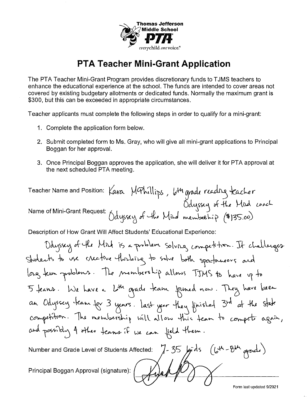

The PTA Teacher Mini-Grant Program provides discretionary funds to TJMS teachers to enhance the educational experience at the school. The funds are intended to cover areas not covered by existing budgetary allotments or dedicated funds. Normally the maximum grant is \$300, but this can be exceeded in appropriate circumstances.

Teacher applicants must complete the following steps in order to qualify for a mini-grant:

- 1. Complete the application form below.
- 2. Submit completed form to Ms. Gray, who will give all mini-grant applications to Principal Boggan for her approval.
- 3. Once Principal Boggan approves the application, she will deliver it for PTA approval at the next scheduled PTA meeting.

Description of How Grant Will Affect Students' Educational Experience:

 $\sqrt{a}$  $(64 - 84)$  grade)  $35$ Number and Grade Level of Students Affected: Principal Boggan Approval (signature):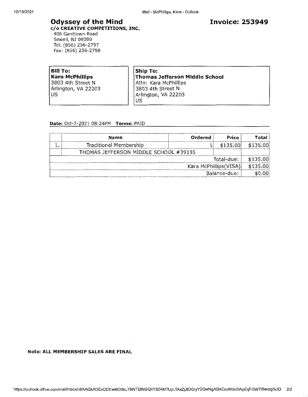### **Odyssey of the Mind**

c/o CREATIVE COMPETITIONS, INC. 406 Ganttown Road Sewell, NJ 08080 Tel: (856) 256-2797 Fax: (856) 256-2798

**Bill To: Kara McPhillips** 3803 4th Street N Arlington, VA 22203 US

**Ship To: Thomas Jefferson Middle School** Attn: Kara McPhillips 3803 4th Street N Arlington, VA 22203 **US** 

#### Date: Oct-7-2021 08:24PM Terms: PAID

|                        | Name                                  | Ordered | Price    | Total    |
|------------------------|---------------------------------------|---------|----------|----------|
|                        | Traditional Membership                |         | \$135.00 | \$135.00 |
|                        | THOMAS JEFFERSON MIDDLE SCHOOL #39195 |         |          |          |
| Total-due:             |                                       |         | \$135.00 |          |
| Kara McPhillips (VISA) |                                       |         |          |          |
| Balance-due:           |                                       |         |          |          |

#### Note: ALL MEMBERSHIP SALES ARE FINAL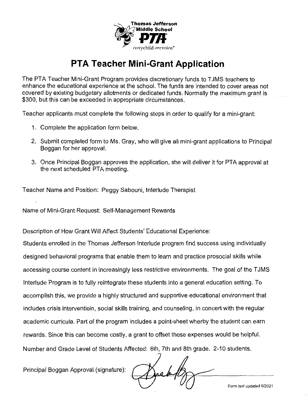

The PTA Teacher Mini-Grant Program provides discretionary funds to T JMS teachers to enhance the educational experience at the school. The funds are intended to cover areas not covered by existing budgetary allotments or dedicated funds. Normally the maximum grant is \$300, but this can be exceeded in appropriate circumstances.

Teacher applicants must complete the following steps in order to qualify for a mini-grant:

- 1. Complete the application form below.
- 2. Submit completed form to Ms. Gray, who will give all mini-grant applications to Principal Boggan for her approval.
- 3. Once Principal Boggan approves the application, she will deliver it for PTA approval at the next scheduled PTA meeting.

Teacher Name and Position: Peggy Sabouni, Interlude Therapist

Name of Mini-Grant Request: Self-Management Rewards

Description of How Grant Will Affect Students' Educational Experience:

Students enrolled in the Thomas Jefferson Interlude program find success using individually designed behavioral programs that enable them to learn and practice prosocial skills while accessing course content in increasingly less restrictive environments. The goal of the TJMS Interlude Program is to fully reintegrate these students into a general education setting. To accomplish this, we provide a highly structured and supportive educational environment that includes crisis interventioin, social skills training, and counseling, in concert with the regular academic curricula. Part of the program includes a point-sheet wherby the student can earn rewards. Since this can become costly, a grant to offset these expenses would be helpful. Number and Grade Level of Students Affected: 6th, 7th and 8th grade. 2-10 students.

Principal Boggan Approval (signature):

**Form last updated 9/2021**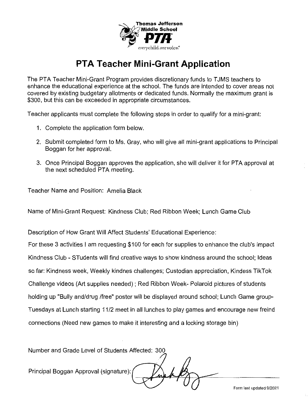

The PTA Teacher Mini-Grant Program provides discretionary funds to TJMS teachers to enhance the educational experience at the school. The funds are intended to cover areas not covered by existing budgetary allotments or dedicated funds. Normally the maximum grant is \$300, but this can be exceeded in appropriate circumstances.

Teacher applicants must complete the following steps in order to qualify for a mini-grant:

- 1. Complete the application form below.
- 2. Submit completed form to Ms. Gray, who will give all mini-grant applications to Principal Boggan for her approval.
- 3. Once Principal Boggan approves the application, she will deliver it for PTA approval at the next scheduled PTA meeting.

Teacher Name and Position: Amelia Black

Name of Mini-Grant Request: Kindness Club; Red Ribbon Week; Lunch Game Club

Description of How Grant Will Affect Students' Educational Experience:

For these 3 activities I am requesting \$100 for each for supplies to enhance the club's impact Kindness Club- STudents will find creative ways to show kindness around the school; Ideas so far: Kindness week, Weekly kindnes challenges; Custodian appreciation, Kindess TikTok Challenge videos (Art supplies needed) ; Red Ribbon Week- Polaroid pictures of students holding up "Bully and/drug /free" poster will be displayed around school; Lunch Game group-Tuesdays at Lunch starting 11/2 meet in all lunches to play games and encourage new freind connections (Need new games to make it interesting and a locking storage bin)

Number and Grade Level of Students Affected: 300

Principal Boggan Approval (signature):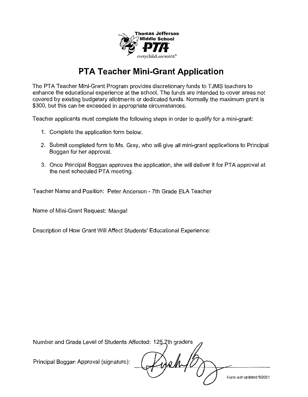

The PTA Teacher Mini-Grant Program provides discretionary funds to TJMS teachers to enhance the educational experience at the school. The funds are intended to cover areas not covered by existing budgetary allotments or dedicated funds. Normally the maximum grant is \$300, but this can be exceeded in appropriate circumstances.

Teacher applicants must complete the following steps in order to qualify for a mini-grant:

- 1. Complete the application form below.
- 2. Submit completed form to Ms. Gray, who will give all mini-grant applications to Principal Boggan for her approval.
- 3. Once Principal Boggan approves the application, she will deliver it for PTA approval at the next scheduled PTA meeting.

Teacher Name and Position: Peter Anderson- 7th Grade ELA Teacher

Name of Mini-Grant Request: Manga!

Description of How Grant Will Affect Students' Educational Experience:

Number and Grade Level of Students Affected: 125 Zth graders

Principal Boggan Approval (signature):